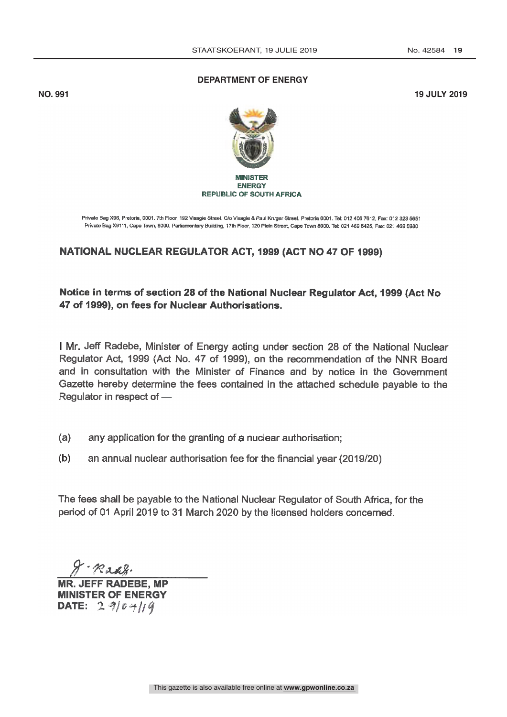## **DEPARTMENT OF ENERGY**

**NO. 991 19 JULY 2019**



## **MINISTER ENERGY REPUBLIC OF SOUTH AFRICA**

Private Bag X96, Pretoria, 0001. 7th Floor, 192 Visagie Street, C/o Visagie & Paul Kruger Street, Pretoria 0001. Tel: 012 406 7612, Fax: 012 323 5651 Private Bag X9111, Cape Town, 8000. Parliamentary Building, 17th Floor, 120 Plein Street, Cape Town 8000. Tel: 021 469 6425, Fax: 021 469 5980

## NATIONAL NUCLEAR REGULATOR ACT, 1999 (ACT NO 47 OF 1999)

Notice in terms of section 28 of the National Nuclear Regulator Act, 1999 (Act No 47 of 1999), on fees for Nuclear Authorisations.

I Mr. Jeff Radebe, Minister of Energy acting under section 28 of the National Nuclear Regulator Act, 1999 (Act No. 47 of 1999), on the recommendation of the NNR Board and in consultation with the Minister of Finance and by notice in the Government Gazette hereby determine the fees contained in the attached schedule payable to the Regulator in respect of

- $(a)$ any application for the granting of a nuclear authorisation;
- $(b)$ an annual nuclear authorisation fee for the financial year (2019/20)

The fees shall be payable to the National Nuclear Regulator of South Africa, for the period of 01 April 2019 to 31 March 2020 by the licensed holders concerned.

Radg.

MR. JEFF RADEBE, MP MINISTER OF ENERGY DATE:  $290 + 119$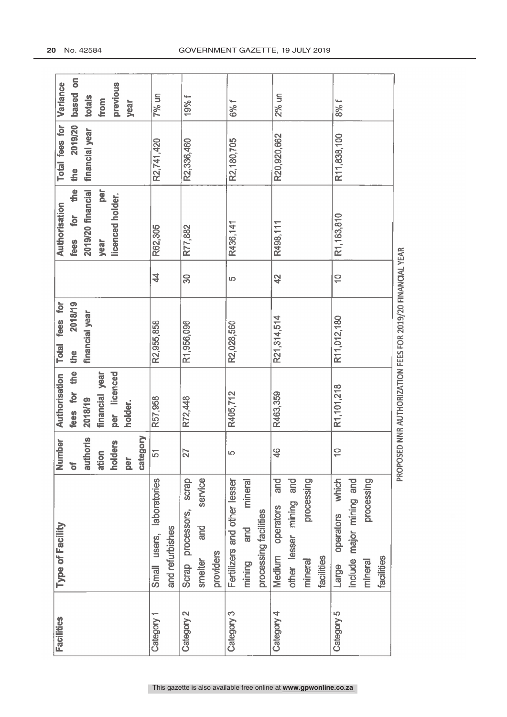| <b>Facilities</b> | Type of Facility              | mber<br>ż                | <b>Authorisation</b> | fees for<br><b>Total</b>                                   |                          | Authorisation                       | Total fees for | Variance |
|-------------------|-------------------------------|--------------------------|----------------------|------------------------------------------------------------|--------------------------|-------------------------------------|----------------|----------|
|                   |                               | $\overline{\sigma}$      | the<br>fees for      | 2018/19<br>the                                             |                          | $\frac{e}{\sqrt{2}}$<br>for<br>fees | 2019/20<br>the | based on |
|                   |                               | authoris                 | 2018/19              | financial year                                             |                          | 2019/20 financial                   | financial year | totals   |
|                   |                               | ation                    | financial year       |                                                            |                          | per<br>year                         |                | from     |
|                   |                               | holders                  | licenced<br>per      |                                                            |                          | licenced holder.                    |                | previous |
|                   |                               | <b>per</b>               | holder.              |                                                            |                          |                                     |                | year     |
|                   |                               | category                 |                      |                                                            |                          |                                     |                |          |
| Category 1        | laboratories<br>Small users,  | $\overline{5}$           | R57,958              | R2,955,858                                                 | \$                       | R62,305                             | R2,741,420     | $7%$ un  |
|                   | and refurbishes               |                          |                      |                                                            |                          |                                     |                |          |
| Category 2        | scrap<br>processors,<br>Scrap | 27                       | R72,448              | R1,956,096                                                 | 30                       | R77,882                             | R2,336,460     | 19% f    |
|                   | service<br>and<br>smelter     |                          |                      |                                                            |                          |                                     |                |          |
|                   | providers                     |                          |                      |                                                            |                          |                                     |                |          |
| Category 3        | Fertilizers and other lesser  | LO <sub>.</sub>          | R405,712             | R2,028,560                                                 | LQ.                      | R436,141                            | R2,180,705     | 6% f     |
|                   | mineral<br>and<br>mining      |                          |                      |                                                            |                          |                                     |                |          |
|                   | processing facilities         |                          |                      |                                                            |                          |                                     |                |          |
| Category 4        | and<br>Medium operators       | 46                       | R463,359             | R21,314,514                                                | 42                       | R498,111                            | R20,920,662    | $2%$ un  |
|                   | other lesser mining and       |                          |                      |                                                            |                          |                                     |                |          |
|                   | processing<br>mineral         |                          |                      |                                                            |                          |                                     |                |          |
|                   | tacilities                    |                          |                      |                                                            |                          |                                     |                |          |
| Category 5        | which<br>operators<br>Large   | $\overline{\phantom{0}}$ | R1,101,218           | R11,012,180                                                | $\overline{\phantom{0}}$ | R1,183,810                          | R11,838,100    | 8% f     |
|                   | include major mining and      |                          |                      |                                                            |                          |                                     |                |          |
|                   | processing<br>mineral         |                          |                      |                                                            |                          |                                     |                |          |
|                   | facilities                    |                          |                      |                                                            |                          |                                     |                |          |
|                   |                               |                          |                      | PROPOSED NNR AUTHORIZATION FEES FOR 2019/20 FINANCIAL YEAR |                          |                                     |                |          |
|                   |                               |                          |                      |                                                            |                          |                                     |                |          |